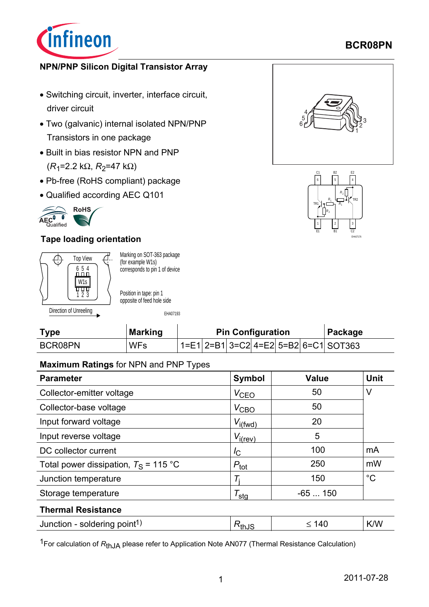

## **BCR08PN**

### **NPN/PNP Silicon Digital Transistor Array**

- Switching circuit, inverter, interface circuit, driver circuit
- Two (galvanic) internal isolated NPN/PNP Transistors in one package
- Built in bias resistor NPN and PNP (*R*<sub>1</sub>=2.2 kΩ, *R*<sub>2</sub>=47 kΩ)
- Pb-free (RoHS compliant) package
- Qualified according AEC Q101



### **Tape loading orientation**



 $\overline{Top View}$  Marking on SOT-363 package (for example W1s) corresponds to pin 1 of device

> Position in tape: pin 1 opposite of feed hole side

> > EHA07193

| <b>Type</b> | <b>Marking</b> | <b>Pin Configuration</b> |  |  |  |  | Package |                                                  |
|-------------|----------------|--------------------------|--|--|--|--|---------|--------------------------------------------------|
| BCR08PN     | <b>WFs</b>     |                          |  |  |  |  |         | 1=E1   2=B1   3=C2   4=E2   5=B2   6=C1   SOT363 |

### **Maximum Ratings** for NPN and PNP Types

| <b>Parameter</b>                         | <b>Symbol</b>       | <b>Value</b> | <b>Unit</b> |
|------------------------------------------|---------------------|--------------|-------------|
| Collector-emitter voltage                | V <sub>CEO</sub>    | 50           | V           |
| Collector-base voltage                   | $V_{\text{CBO}}$    | 50           |             |
| Input forward voltage                    | $V_{i(fwd)}$        | 20           |             |
| Input reverse voltage                    | $V_{i(rev)}$        | 5            |             |
| DC collector current                     | $I_{\rm C}$         | 100          | mA          |
| Total power dissipation, $T_S$ = 115 °C  | $P_{\text{tot}}$    | 250          | mW          |
| Junction temperature                     |                     | 150          | $^{\circ}C$ |
| Storage temperature                      | $\tau_{\text{sta}}$ | $-65150$     |             |
| <b>Thermal Resistance</b>                |                     |              |             |
| Junction - soldering point <sup>1)</sup> | , $R_{\sf thJS}$    | $\leq 140$   | K/W         |

1For calculation of *R*thJA please refer to Application Note AN077 (Thermal Resistance Calculation)



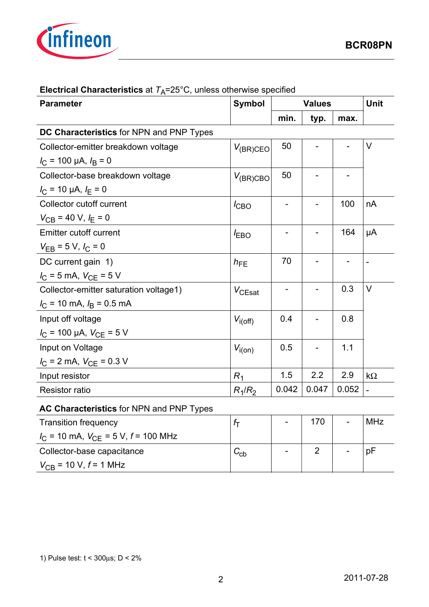

| <b>Parameter</b>                          | <b>Symbol</b>    | <b>Values</b> |       |       | <b>Unit</b>    |
|-------------------------------------------|------------------|---------------|-------|-------|----------------|
|                                           |                  |               | typ.  | max.  |                |
| DC Characteristics for NPN and PNP Types  |                  |               |       |       |                |
| Collector-emitter breakdown voltage       | $V_{(BR)CEO}$    | 50            |       |       | V              |
| $I_C$ = 100 µA, $I_B$ = 0                 |                  |               |       |       |                |
| Collector-base breakdown voltage          | $V_{(BR)CBO}$    | 50            |       |       |                |
| $I_C$ = 10 µA, $I_E$ = 0                  |                  |               |       |       |                |
| Collector cutoff current                  | $I_{\text{CBO}}$ |               |       | 100   | nA             |
| $V_{CB}$ = 40 V, $I_E$ = 0                |                  |               |       |       |                |
| <b>Emitter cutoff current</b>             | $I_{EBO}$        |               |       | 164   | μA             |
| $V_{EB} = 5 V, I_C = 0$                   |                  |               |       |       |                |
| DC current gain 1)                        | $h_{\text{FE}}$  | 70            |       |       |                |
| $I_{\rm C}$ = 5 mA, $V_{\rm CE}$ = 5 V    |                  |               |       |       |                |
| Collector-emitter saturation voltage1)    | $V_{CEsat}$      |               |       | 0.3   | V              |
| $I_{\rm C}$ = 10 mA, $I_{\rm B}$ = 0.5 mA |                  |               |       |       |                |
| Input off voltage                         | $V_{i(off)}$     | 0.4           |       | 0.8   |                |
| $I_{\rm C}$ = 100 µA, $V_{\rm CE}$ = 5 V  |                  |               |       |       |                |
| Input on Voltage                          | $V_{i(0n)}$      | 0.5           |       | 1.1   |                |
| $I_{\rm C}$ = 2 mA, $V_{\rm CE}$ = 0.3 V  |                  |               |       |       |                |
| Input resistor                            | $R_1$            | 1.5           | 2.2   | 2.9   | $k\Omega$      |
| <b>Resistor ratio</b>                     | $R_1/R_2$        | 0.042         | 0.047 | 0.052 | $\overline{a}$ |

### **Electrical Characteristics** at  $T_A = 25^\circ \text{C}$ , unless otherwise specified

## **AC Characteristics** for NPN and PNP Types

| <b>Transition frequency</b>                          |              | 170 | <b>MHz</b> |
|------------------------------------------------------|--------------|-----|------------|
| $I_{\rm C}$ = 10 mA, $V_{\rm CF}$ = 5 V, f = 100 MHz |              |     |            |
| Collector-base capacitance                           | $C_{\rm cb}$ |     | рF         |
| $V_{\text{CB}}$ = 10 V, $f$ = 1 MHz                  |              |     |            |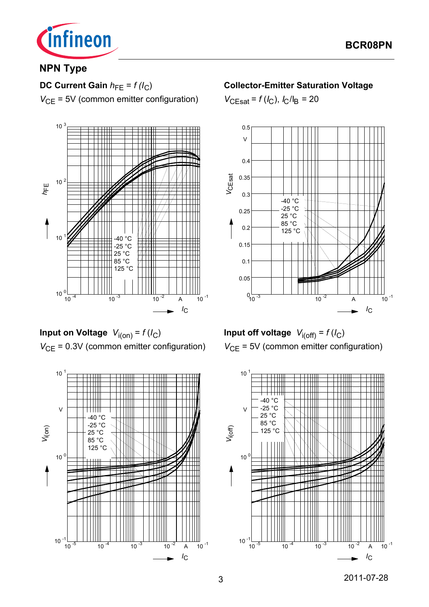

# **NPN Type**

# **DC Current Gain**  $h_{FE} = f(l_C)$

 $V_{\text{CF}}$  = 5V (common emitter configuration)



**Input on Voltage**  $V_{i(0n)} = f(I_C)$ *V*<sub>CE</sub> = 0.3V (common emitter configuration)



### **Collector-Emitter Saturation Voltage**

 $V_{\text{CEsat}} = f(l_{\text{C}}), l_{\text{C}}/I_{\text{B}} = 20$ 



**Input off voltage**  $V_{i(off)} = f (I_C)$ *V*<sub>CE</sub> = 5V (common emitter configuration)

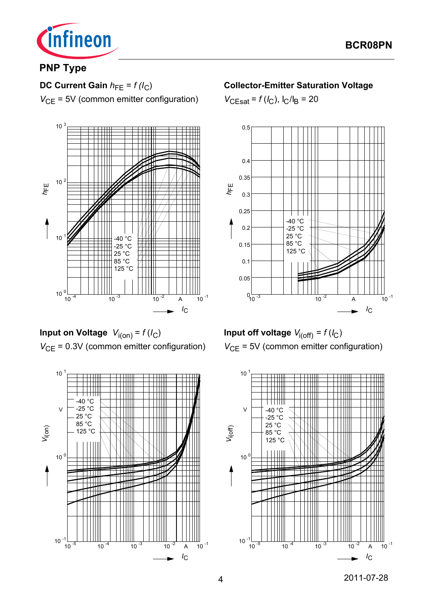

## **PNP Type**

# **DC Current Gain**  $h_{FE} = f(l_C)$

 $V_{\text{CF}}$  = 5V (common emitter configuration)



**Input on Voltage**  $V_{i(0n)} = f(I_C)$ *V*<sub>CE</sub> = 0.3V (common emitter configuration)



### **Collector-Emitter Saturation Voltage**

 $V_{\text{CEsat}} = f(l_{\text{C}}), l_{\text{C}}/l_{\text{B}} = 20$ 



**Input off voltage**  $V_{i(\text{off})} = f(l_C)$ *V*<sub>CE</sub> = 5V (common emitter configuration)

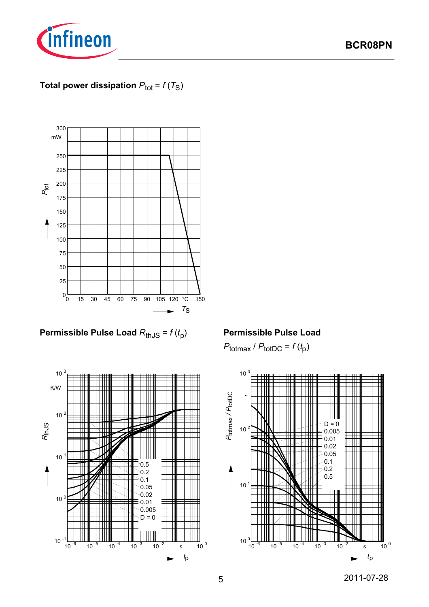

## **Total power dissipation**  $P_{\text{tot}} = f(T_S)$



**Permissible Pulse Load**  $R_{th,JS} = f(t_p)$ 

### **Permissible Pulse Load**

 $P_{\text{totmax}}$  /  $P_{\text{totDC}}$  =  $f(t_p)$ 





5 2011-07-28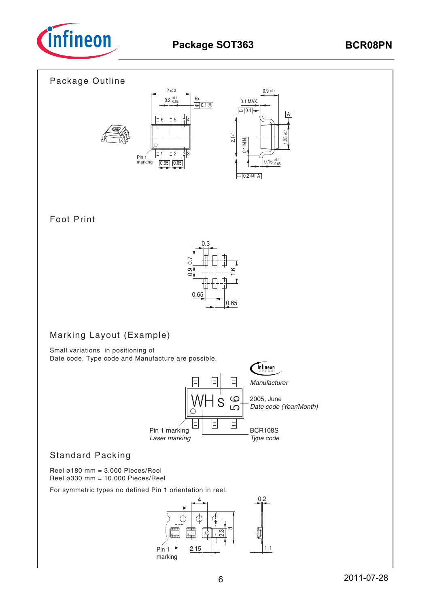